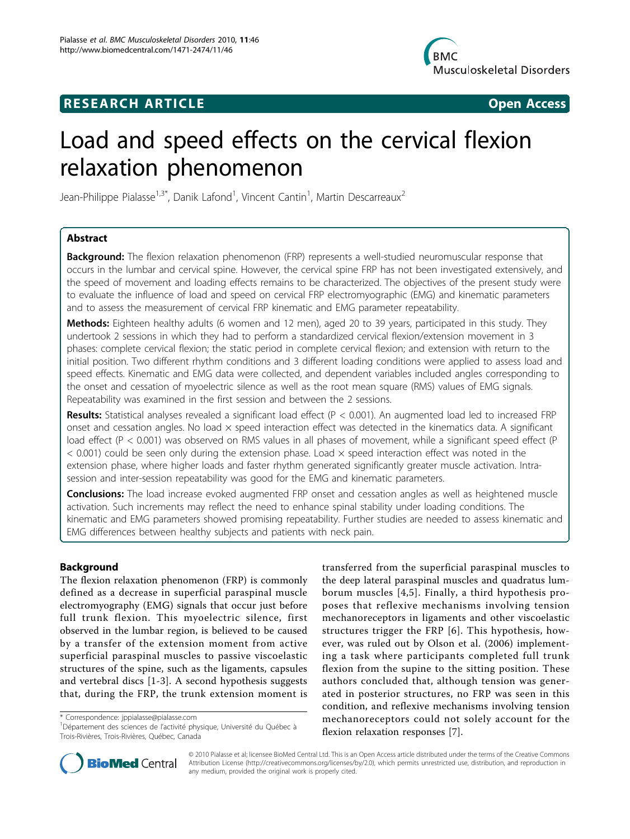# **RESEARCH ARTICLE Example 2018 12:30 THE Open Access**



# Load and speed effects on the cervical flexion relaxation phenomenon

Jean-Philippe Pialasse<sup>1,3\*</sup>, Danik Lafond<sup>1</sup>, Vincent Cantin<sup>1</sup>, Martin Descarreaux<sup>2</sup>

# Abstract

**Background:** The flexion relaxation phenomenon (FRP) represents a well-studied neuromuscular response that occurs in the lumbar and cervical spine. However, the cervical spine FRP has not been investigated extensively, and the speed of movement and loading effects remains to be characterized. The objectives of the present study were to evaluate the influence of load and speed on cervical FRP electromyographic (EMG) and kinematic parameters and to assess the measurement of cervical FRP kinematic and EMG parameter repeatability.

Methods: Eighteen healthy adults (6 women and 12 men), aged 20 to 39 years, participated in this study. They undertook 2 sessions in which they had to perform a standardized cervical flexion/extension movement in 3 phases: complete cervical flexion; the static period in complete cervical flexion; and extension with return to the initial position. Two different rhythm conditions and 3 different loading conditions were applied to assess load and speed effects. Kinematic and EMG data were collected, and dependent variables included angles corresponding to the onset and cessation of myoelectric silence as well as the root mean square (RMS) values of EMG signals. Repeatability was examined in the first session and between the 2 sessions.

Results: Statistical analyses revealed a significant load effect ( $P < 0.001$ ). An augmented load led to increased FRP onset and cessation angles. No load  $\times$  speed interaction effect was detected in the kinematics data. A significant load effect (P < 0.001) was observed on RMS values in all phases of movement, while a significant speed effect (P  $<$  0.001) could be seen only during the extension phase. Load  $\times$  speed interaction effect was noted in the extension phase, where higher loads and faster rhythm generated significantly greater muscle activation. Intrasession and inter-session repeatability was good for the EMG and kinematic parameters.

**Conclusions:** The load increase evoked augmented FRP onset and cessation angles as well as heightened muscle activation. Such increments may reflect the need to enhance spinal stability under loading conditions. The kinematic and EMG parameters showed promising repeatability. Further studies are needed to assess kinematic and EMG differences between healthy subjects and patients with neck pain.

# Background

The flexion relaxation phenomenon (FRP) is commonly defined as a decrease in superficial paraspinal muscle electromyography (EMG) signals that occur just before full trunk flexion. This myoelectric silence, first observed in the lumbar region, is believed to be caused by a transfer of the extension moment from active superficial paraspinal muscles to passive viscoelastic structures of the spine, such as the ligaments, capsules and vertebral discs [[1-3\]](#page-8-0). A second hypothesis suggests that, during the FRP, the trunk extension moment is

\* Correspondence: [jppialasse@pialasse.com](mailto:jppialasse@pialasse.com)

<sup>1</sup>Département des sciences de l'activité physique, Université du Québec à Trois-Rivières, Trois-Rivières, Québec, Canada

transferred from the superficial paraspinal muscles to the deep lateral paraspinal muscles and quadratus lumborum muscles [[4](#page-8-0),[5\]](#page-8-0). Finally, a third hypothesis proposes that reflexive mechanisms involving tension mechanoreceptors in ligaments and other viscoelastic structures trigger the FRP [[6](#page-8-0)]. This hypothesis, however, was ruled out by Olson et al. (2006) implementing a task where participants completed full trunk flexion from the supine to the sitting position. These authors concluded that, although tension was generated in posterior structures, no FRP was seen in this condition, and reflexive mechanisms involving tension mechanoreceptors could not solely account for the flexion relaxation responses [\[7](#page-8-0)].



© 2010 Pialasse et al; licensee BioMed Central Ltd. This is an Open Access article distributed under the terms of the Creative Commons Attribution License [\(http://creativecommons.org/licenses/by/2.0](http://creativecommons.org/licenses/by/2.0)), which permits unrestricted use, distribution, and reproduction in any medium, provided the original work is properly cited.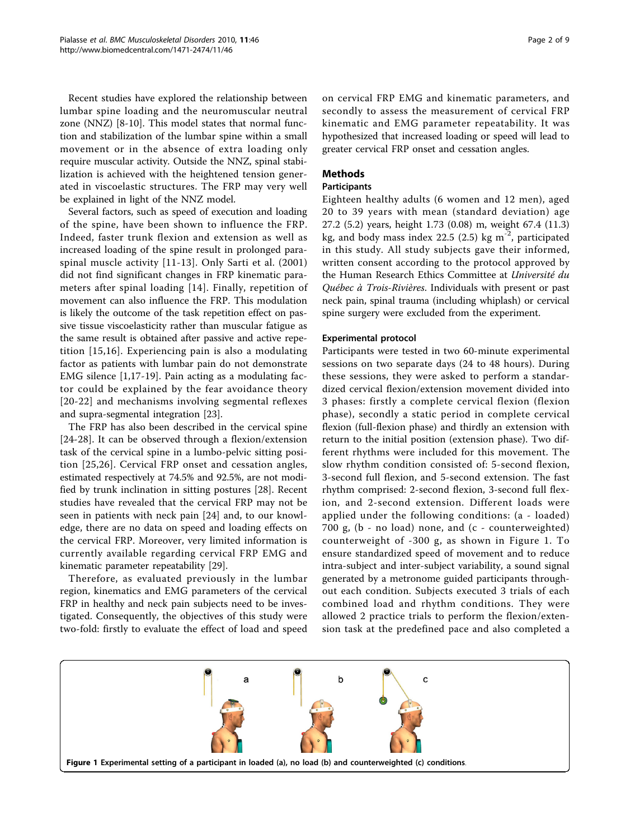<span id="page-1-0"></span>Recent studies have explored the relationship between lumbar spine loading and the neuromuscular neutral zone (NNZ) [\[8](#page-8-0)-[10\]](#page-8-0). This model states that normal function and stabilization of the lumbar spine within a small movement or in the absence of extra loading only require muscular activity. Outside the NNZ, spinal stabilization is achieved with the heightened tension generated in viscoelastic structures. The FRP may very well be explained in light of the NNZ model.

Several factors, such as speed of execution and loading of the spine, have been shown to influence the FRP. Indeed, faster trunk flexion and extension as well as increased loading of the spine result in prolonged paraspinal muscle activity [[11](#page-8-0)-[13](#page-8-0)]. Only Sarti et al. (2001) did not find significant changes in FRP kinematic parameters after spinal loading [\[14\]](#page-8-0). Finally, repetition of movement can also influence the FRP. This modulation is likely the outcome of the task repetition effect on passive tissue viscoelasticity rather than muscular fatigue as the same result is obtained after passive and active repetition [\[15,16\]](#page-8-0). Experiencing pain is also a modulating factor as patients with lumbar pain do not demonstrate EMG silence [\[1](#page-8-0),[17-19\]](#page-8-0). Pain acting as a modulating factor could be explained by the fear avoidance theory [[20-22\]](#page-8-0) and mechanisms involving segmental reflexes and supra-segmental integration [\[23](#page-8-0)].

The FRP has also been described in the cervical spine [[24-28\]](#page-8-0). It can be observed through a flexion/extension task of the cervical spine in a lumbo-pelvic sitting position [[25](#page-8-0),[26\]](#page-8-0). Cervical FRP onset and cessation angles, estimated respectively at 74.5% and 92.5%, are not modified by trunk inclination in sitting postures [[28\]](#page-8-0). Recent studies have revealed that the cervical FRP may not be seen in patients with neck pain [[24\]](#page-8-0) and, to our knowledge, there are no data on speed and loading effects on the cervical FRP. Moreover, very limited information is currently available regarding cervical FRP EMG and kinematic parameter repeatability [\[29](#page-8-0)].

Therefore, as evaluated previously in the lumbar region, kinematics and EMG parameters of the cervical FRP in healthy and neck pain subjects need to be investigated. Consequently, the objectives of this study were two-fold: firstly to evaluate the effect of load and speed

on cervical FRP EMG and kinematic parameters, and secondly to assess the measurement of cervical FRP kinematic and EMG parameter repeatability. It was hypothesized that increased loading or speed will lead to greater cervical FRP onset and cessation angles.

# Methods

# Participants

Eighteen healthy adults (6 women and 12 men), aged 20 to 39 years with mean (standard deviation) age 27.2 (5.2) years, height 1.73 (0.08) m, weight 67.4 (11.3) kg, and body mass index 22.5 (2.5) kg  $m^{-2}$ , participated in this study. All study subjects gave their informed, written consent according to the protocol approved by the Human Research Ethics Committee at Université du Québec à Trois-Rivières. Individuals with present or past neck pain, spinal trauma (including whiplash) or cervical spine surgery were excluded from the experiment.

# Experimental protocol

Participants were tested in two 60-minute experimental sessions on two separate days (24 to 48 hours). During these sessions, they were asked to perform a standardized cervical flexion/extension movement divided into 3 phases: firstly a complete cervical flexion (flexion phase), secondly a static period in complete cervical flexion (full-flexion phase) and thirdly an extension with return to the initial position (extension phase). Two different rhythms were included for this movement. The slow rhythm condition consisted of: 5-second flexion, 3-second full flexion, and 5-second extension. The fast rhythm comprised: 2-second flexion, 3-second full flexion, and 2-second extension. Different loads were applied under the following conditions: (a - loaded) 700 g, (b - no load) none, and (c - counterweighted) counterweight of -300 g, as shown in Figure 1. To ensure standardized speed of movement and to reduce intra-subject and inter-subject variability, a sound signal generated by a metronome guided participants throughout each condition. Subjects executed 3 trials of each combined load and rhythm conditions. They were allowed 2 practice trials to perform the flexion/extension task at the predefined pace and also completed a

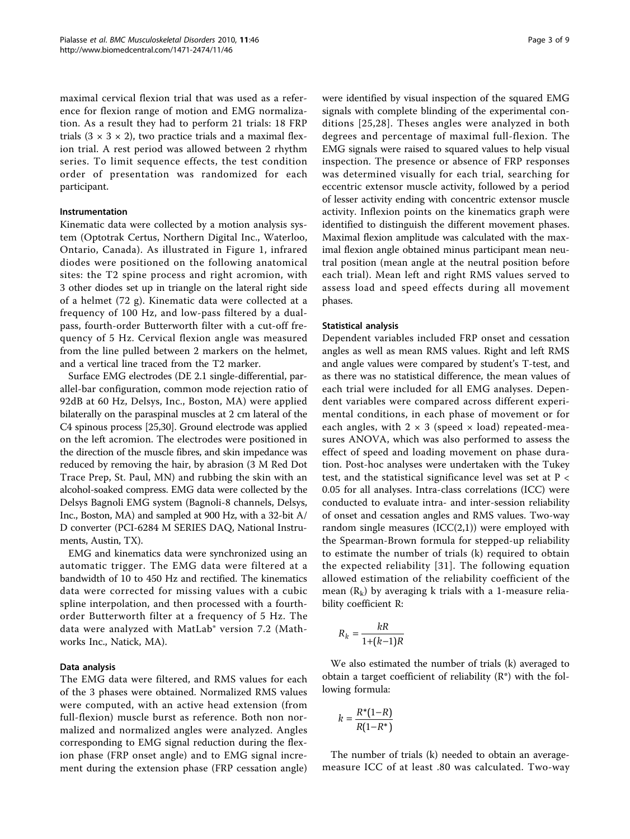maximal cervical flexion trial that was used as a reference for flexion range of motion and EMG normalization. As a result they had to perform 21 trials: 18 FRP trials  $(3 \times 3 \times 2)$ , two practice trials and a maximal flexion trial. A rest period was allowed between 2 rhythm series. To limit sequence effects, the test condition order of presentation was randomized for each participant.

# Instrumentation

Kinematic data were collected by a motion analysis system (Optotrak Certus, Northern Digital Inc., Waterloo, Ontario, Canada). As illustrated in Figure [1](#page-1-0), infrared diodes were positioned on the following anatomical sites: the T2 spine process and right acromion, with 3 other diodes set up in triangle on the lateral right side of a helmet (72 g). Kinematic data were collected at a frequency of 100 Hz, and low-pass filtered by a dualpass, fourth-order Butterworth filter with a cut-off frequency of 5 Hz. Cervical flexion angle was measured from the line pulled between 2 markers on the helmet, and a vertical line traced from the T2 marker.

Surface EMG electrodes (DE 2.1 single-differential, parallel-bar configuration, common mode rejection ratio of 92dB at 60 Hz, Delsys, Inc., Boston, MA) were applied bilaterally on the paraspinal muscles at 2 cm lateral of the C4 spinous process [\[25,30\]](#page-8-0). Ground electrode was applied on the left acromion. The electrodes were positioned in the direction of the muscle fibres, and skin impedance was reduced by removing the hair, by abrasion (3 M Red Dot Trace Prep, St. Paul, MN) and rubbing the skin with an alcohol-soaked compress. EMG data were collected by the Delsys Bagnoli EMG system (Bagnoli-8 channels, Delsys, Inc., Boston, MA) and sampled at 900 Hz, with a 32-bit A/ D converter (PCI-6284 M SERIES DAQ, National Instruments, Austin, TX).

EMG and kinematics data were synchronized using an automatic trigger. The EMG data were filtered at a bandwidth of 10 to 450 Hz and rectified. The kinematics data were corrected for missing values with a cubic spline interpolation, and then processed with a fourthorder Butterworth filter at a frequency of 5 Hz. The data were analyzed with MatLab® version 7.2 (Mathworks Inc., Natick, MA).

# Data analysis

The EMG data were filtered, and RMS values for each of the 3 phases were obtained. Normalized RMS values were computed, with an active head extension (from full-flexion) muscle burst as reference. Both non normalized and normalized angles were analyzed. Angles corresponding to EMG signal reduction during the flexion phase (FRP onset angle) and to EMG signal increment during the extension phase (FRP cessation angle) were identified by visual inspection of the squared EMG signals with complete blinding of the experimental conditions [[25,28\]](#page-8-0). Theses angles were analyzed in both degrees and percentage of maximal full-flexion. The EMG signals were raised to squared values to help visual inspection. The presence or absence of FRP responses was determined visually for each trial, searching for eccentric extensor muscle activity, followed by a period of lesser activity ending with concentric extensor muscle activity. Inflexion points on the kinematics graph were identified to distinguish the different movement phases. Maximal flexion amplitude was calculated with the maximal flexion angle obtained minus participant mean neutral position (mean angle at the neutral position before each trial). Mean left and right RMS values served to assess load and speed effects during all movement phases.

#### Statistical analysis

Dependent variables included FRP onset and cessation angles as well as mean RMS values. Right and left RMS and angle values were compared by student's T-test, and as there was no statistical difference, the mean values of each trial were included for all EMG analyses. Dependent variables were compared across different experimental conditions, in each phase of movement or for each angles, with  $2 \times 3$  (speed  $\times$  load) repeated-measures ANOVA, which was also performed to assess the effect of speed and loading movement on phase duration. Post-hoc analyses were undertaken with the Tukey test, and the statistical significance level was set at P < 0.05 for all analyses. Intra-class correlations (ICC) were conducted to evaluate intra- and inter-session reliability of onset and cessation angles and RMS values. Two-way random single measures  $(ICC(2,1))$  were employed with the Spearman-Brown formula for stepped-up reliability to estimate the number of trials (k) required to obtain the expected reliability [[31\]](#page-8-0). The following equation allowed estimation of the reliability coefficient of the mean  $(R_k)$  by averaging k trials with a 1-measure reliability coefficient R:

$$
R_k = \frac{kR}{1 + (k-1)R}
$$

We also estimated the number of trials (k) averaged to obtain a target coefficient of reliability (R\*) with the following formula:

$$
k = \frac{R^*(1-R)}{R(1-R^*)}
$$

The number of trials (k) needed to obtain an averagemeasure ICC of at least .80 was calculated. Two-way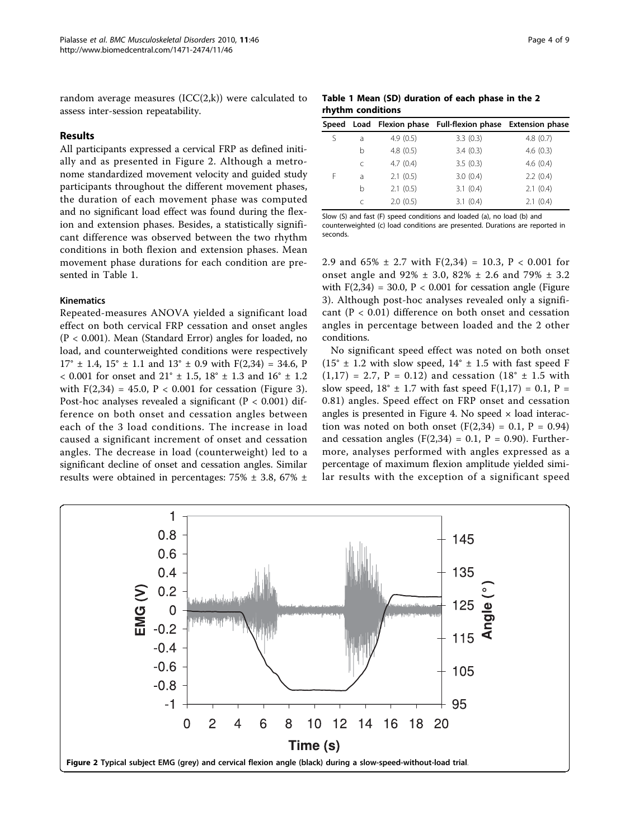random average measures  $(ICC(2,k))$  were calculated to assess inter-session repeatability.

# Results

All participants expressed a cervical FRP as defined initially and as presented in Figure 2. Although a metronome standardized movement velocity and guided study participants throughout the different movement phases, the duration of each movement phase was computed and no significant load effect was found during the flexion and extension phases. Besides, a statistically significant difference was observed between the two rhythm conditions in both flexion and extension phases. Mean movement phase durations for each condition are presented in Table 1.

# Kinematics

Repeated-measures ANOVA yielded a significant load effect on both cervical FRP cessation and onset angles (P < 0.001). Mean (Standard Error) angles for loaded, no load, and counterweighted conditions were respectively  $17^{\circ}$  ± 1.4,  $15^{\circ}$  ± 1.1 and  $13^{\circ}$  ± 0.9 with F(2,34) = 34.6, P  $< 0.001$  for onset and 21°  $\pm$  1.5, 18°  $\pm$  1.3 and 16°  $\pm$  1.2 with  $F(2,34) = 45.0$ ,  $P < 0.001$  for cessation (Figure [3](#page-4-0)). Post-hoc analyses revealed a significant ( $P < 0.001$ ) difference on both onset and cessation angles between each of the 3 load conditions. The increase in load caused a significant increment of onset and cessation angles. The decrease in load (counterweight) led to a significant decline of onset and cessation angles. Similar results were obtained in percentages:  $75\% \pm 3.8$ ,  $67\% \pm 1.5$ 

Table 1 Mean (SD) duration of each phase in the 2 rhythm conditions

|   |           |          | Speed Load Flexion phase Full-flexion phase Extension phase |          |
|---|-----------|----------|-------------------------------------------------------------|----------|
| ς | a         | 4.9(0.5) | 3.3(0.3)                                                    | 4.8(0.7) |
|   | b         | 4.8(0.5) | 3.4(0.3)                                                    | 4.6(0.3) |
|   | C         | 4.7(0.4) | 3.5(0.3)                                                    | 4.6(0.4) |
| F | a         | 2.1(0.5) | 3.0(0.4)                                                    | 2.2(0.4) |
|   | b         | 2.1(0.5) | 3.1(0.4)                                                    | 2.1(0.4) |
|   | $\subset$ | 2.0(0.5) | 3.1(0.4)                                                    | 2.1(0.4) |

Slow (S) and fast (F) speed conditions and loaded (a), no load (b) and counterweighted (c) load conditions are presented. Durations are reported in seconds.

2.9 and  $65\% \pm 2.7$  with  $F(2,34) = 10.3$ ,  $P < 0.001$  for onset angle and 92% ± 3.0, 82% ± 2.6 and 79% ± 3.2 with  $F(2,34) = 30.0$ ,  $P < 0.001$  for cessation angle (Figure [3\)](#page-4-0). Although post-hoc analyses revealed only a significant  $(P < 0.01)$  difference on both onset and cessation angles in percentage between loaded and the 2 other conditions.

No significant speed effect was noted on both onset  $(15^{\circ} \pm 1.2 \text{ with slow speed, } 14^{\circ} \pm 1.5 \text{ with fast speed F})$  $(1,17) = 2.7$ ,  $P = 0.12$ ) and cessation  $(18^{\circ} \pm 1.5 \text{ with})$ slow speed,  $18^{\circ} \pm 1.7$  with fast speed  $F(1,17) = 0.1$ ,  $P =$ 0.81) angles. Speed effect on FRP onset and cessation angles is presented in Figure [4](#page-4-0). No speed  $\times$  load interaction was noted on both onset  $(F(2,34) = 0.1, P = 0.94)$ and cessation angles  $(F(2,34) = 0.1, P = 0.90)$ . Furthermore, analyses performed with angles expressed as a percentage of maximum flexion amplitude yielded similar results with the exception of a significant speed

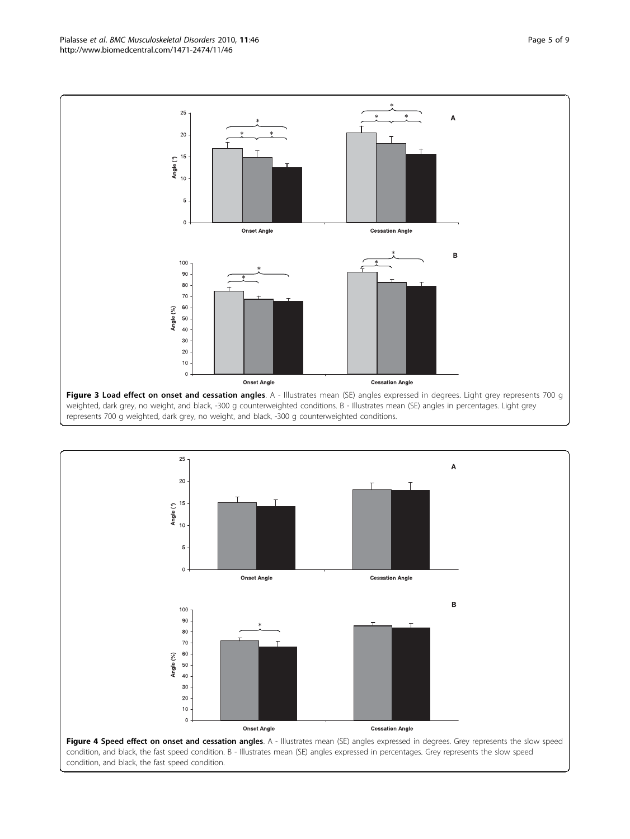<span id="page-4-0"></span>Pialasse et al. BMC Musculoskeletal Disorders 2010, 11:46 http://www.biomedcentral.com/1471-2474/11/46



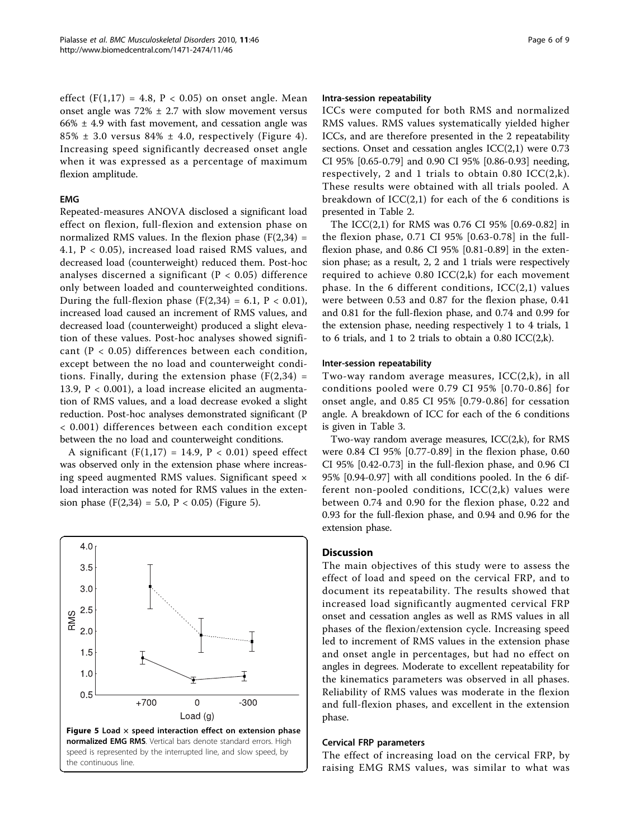effect  $(F(1,17) = 4.8, P < 0.05)$  on onset angle. Mean onset angle was  $72\% \pm 2.7$  with slow movement versus  $66\% \pm 4.9$  with fast movement, and cessation angle was  $85\% \pm 3.0$  versus  $84\% \pm 4.0$ , respectively (Figure [4\)](#page-4-0). Increasing speed significantly decreased onset angle when it was expressed as a percentage of maximum flexion amplitude.

#### EMG

Repeated-measures ANOVA disclosed a significant load effect on flexion, full-flexion and extension phase on normalized RMS values. In the flexion phase  $(F(2,34) =$ 4.1, P < 0.05), increased load raised RMS values, and decreased load (counterweight) reduced them. Post-hoc analyses discerned a significant ( $P < 0.05$ ) difference only between loaded and counterweighted conditions. During the full-flexion phase  $(F(2,34) = 6.1, P < 0.01)$ , increased load caused an increment of RMS values, and decreased load (counterweight) produced a slight elevation of these values. Post-hoc analyses showed significant (P < 0.05) differences between each condition, except between the no load and counterweight conditions. Finally, during the extension phase  $(F(2,34) =$ 13.9, P < 0.001), a load increase elicited an augmentation of RMS values, and a load decrease evoked a slight reduction. Post-hoc analyses demonstrated significant (P < 0.001) differences between each condition except between the no load and counterweight conditions.

A significant  $(F(1,17) = 14.9, P < 0.01)$  speed effect was observed only in the extension phase where increasing speed augmented RMS values. Significant speed × load interaction was noted for RMS values in the extension phase  $(F(2,34) = 5.0, P < 0.05)$  (Figure 5).



#### Intra-session repeatability

ICCs were computed for both RMS and normalized RMS values. RMS values systematically yielded higher ICCs, and are therefore presented in the 2 repeatability sections. Onset and cessation angles ICC(2,1) were 0.73 CI 95% [0.65-0.79] and 0.90 CI 95% [0.86-0.93] needing, respectively, 2 and 1 trials to obtain 0.80  $ICC(2,k)$ . These results were obtained with all trials pooled. A breakdown of  $ICC(2,1)$  for each of the 6 conditions is presented in Table [2.](#page-6-0)

The ICC(2,1) for RMS was 0.76 CI 95% [0.69-0.82] in the flexion phase, 0.71 CI 95% [0.63-0.78] in the fullflexion phase, and 0.86 CI 95% [0.81-0.89] in the extension phase; as a result, 2, 2 and 1 trials were respectively required to achieve  $0.80$  ICC(2,k) for each movement phase. In the 6 different conditions,  $ICC(2,1)$  values were between 0.53 and 0.87 for the flexion phase, 0.41 and 0.81 for the full-flexion phase, and 0.74 and 0.99 for the extension phase, needing respectively 1 to 4 trials, 1 to 6 trials, and 1 to 2 trials to obtain a 0.80 ICC(2,k).

## Inter-session repeatability

Two-way random average measures, ICC(2,k), in all conditions pooled were 0.79 CI 95% [0.70-0.86] for onset angle, and 0.85 CI 95% [0.79-0.86] for cessation angle. A breakdown of ICC for each of the 6 conditions is given in Table [3](#page-6-0).

Two-way random average measures, ICC(2,k), for RMS were 0.84 CI 95% [0.77-0.89] in the flexion phase, 0.60 CI 95% [0.42-0.73] in the full-flexion phase, and 0.96 CI 95% [0.94-0.97] with all conditions pooled. In the 6 different non-pooled conditions,  $ICC(2,k)$  values were between 0.74 and 0.90 for the flexion phase, 0.22 and 0.93 for the full-flexion phase, and 0.94 and 0.96 for the extension phase.

## Discussion

The main objectives of this study were to assess the effect of load and speed on the cervical FRP, and to document its repeatability. The results showed that increased load significantly augmented cervical FRP onset and cessation angles as well as RMS values in all phases of the flexion/extension cycle. Increasing speed led to increment of RMS values in the extension phase and onset angle in percentages, but had no effect on angles in degrees. Moderate to excellent repeatability for the kinematics parameters was observed in all phases. Reliability of RMS values was moderate in the flexion and full-flexion phases, and excellent in the extension phase.

#### Cervical FRP parameters

The effect of increasing load on the cervical FRP, by raising EMG RMS values, was similar to what was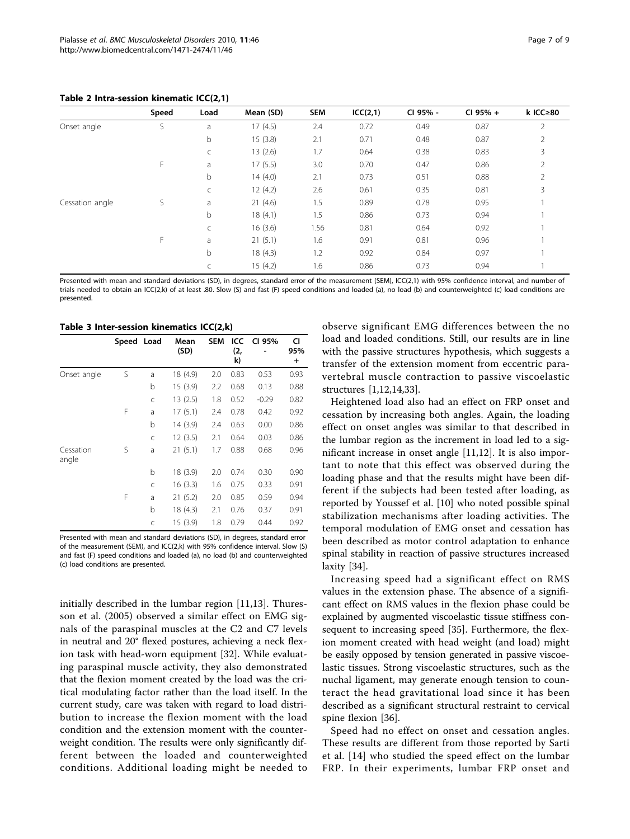<span id="page-6-0"></span>

|                 | Speed | Load | Mean (SD) | <b>SEM</b> | ICC(2,1) | CI 95% - | CI 95% + | k ICC $\geq 80$ |
|-----------------|-------|------|-----------|------------|----------|----------|----------|-----------------|
| Onset angle     | S     | a    | 17(4.5)   | 2.4        | 0.72     | 0.49     | 0.87     | 2               |
|                 |       | b    | 15(3.8)   | 2.1        | 0.71     | 0.48     | 0.87     | 2               |
|                 |       | C    | 13(2.6)   | 1.7        | 0.64     | 0.38     | 0.83     | 3               |
|                 | F     | a    | 17(5.5)   | 3.0        | 0.70     | 0.47     | 0.86     | 2               |
|                 |       | b    | 14(4.0)   | 2.1        | 0.73     | 0.51     | 0.88     | 2               |
|                 |       | C    | 12(4.2)   | 2.6        | 0.61     | 0.35     | 0.81     | 3               |
| Cessation angle | S     | a    | 21(4.6)   | 1.5        | 0.89     | 0.78     | 0.95     |                 |
|                 |       | b    | 18(4.1)   | 1.5        | 0.86     | 0.73     | 0.94     |                 |
|                 |       | C    | 16(3.6)   | 1.56       | 0.81     | 0.64     | 0.92     |                 |
|                 | F.    | a    | 21(5.1)   | 1.6        | 0.91     | 0.81     | 0.96     |                 |
|                 |       | b    | 18(4.3)   | 1.2        | 0.92     | 0.84     | 0.97     |                 |
|                 |       |      | 15(4.2)   | 1.6        | 0.86     | 0.73     | 0.94     |                 |

Presented with mean and standard deviations (SD), in degrees, standard error of the measurement (SEM), ICC(2,1) with 95% confidence interval, and number of trials needed to obtain an ICC(2,k) of at least .80. Slow (S) and fast (F) speed conditions and loaded (a), no load (b) and counterweighted (c) load conditions are presented.

Table 3 Inter-session kinematics ICC(2,k)

|                    | Speed Load |   | Mean<br>(SD) | <b>SEM</b> | ICC<br>(2,<br>k) | CI 95%  | CI<br>95%<br>$\pmb{+}$ |
|--------------------|------------|---|--------------|------------|------------------|---------|------------------------|
| Onset angle        | S          | a | 18 (4.9)     | 2.0        | 0.83             | 0.53    | 0.93                   |
|                    |            | b | 15(3.9)      | 2.2        | 0.68             | 0.13    | 0.88                   |
|                    |            | C | 13(2.5)      | 1.8        | 0.52             | $-0.29$ | 0.82                   |
|                    | F          | a | 17(5.1)      | 2.4        | 0.78             | 0.42    | 0.92                   |
|                    |            | b | 14 (3.9)     | 2.4        | 0.63             | 0.00    | 0.86                   |
|                    |            | C | 12(3.5)      | 2.1        | 0.64             | 0.03    | 0.86                   |
| Cessation<br>angle | S          | a | 21(5.1)      | 1.7        | 0.88             | 0.68    | 0.96                   |
|                    |            | b | 18 (3.9)     | 2.0        | 0.74             | 0.30    | 0.90                   |
|                    |            | C | 16(3.3)      | 1.6        | 0.75             | 0.33    | 0.91                   |
|                    | F          | a | 21(5.2)      | 2.0        | 0.85             | 0.59    | 0.94                   |
|                    |            | b | 18 (4.3)     | 2.1        | 0.76             | 0.37    | 0.91                   |
|                    |            | C | 15(3.9)      | 1.8        | 0.79             | 0.44    | 0.92                   |

Presented with mean and standard deviations (SD), in degrees, standard error of the measurement (SEM), and ICC(2,k) with 95% confidence interval. Slow (S) and fast (F) speed conditions and loaded (a), no load (b) and counterweighted (c) load conditions are presented.

initially described in the lumbar region [[11,13\]](#page-8-0). Thuresson et al. (2005) observed a similar effect on EMG signals of the paraspinal muscles at the C2 and C7 levels in neutral and 20° flexed postures, achieving a neck flexion task with head-worn equipment [[32](#page-8-0)]. While evaluating paraspinal muscle activity, they also demonstrated that the flexion moment created by the load was the critical modulating factor rather than the load itself. In the current study, care was taken with regard to load distribution to increase the flexion moment with the load condition and the extension moment with the counterweight condition. The results were only significantly different between the loaded and counterweighted conditions. Additional loading might be needed to

observe significant EMG differences between the no load and loaded conditions. Still, our results are in line with the passive structures hypothesis, which suggests a transfer of the extension moment from eccentric paravertebral muscle contraction to passive viscoelastic structures [[1](#page-8-0),[12,14,33](#page-8-0)].

Heightened load also had an effect on FRP onset and cessation by increasing both angles. Again, the loading effect on onset angles was similar to that described in the lumbar region as the increment in load led to a significant increase in onset angle [[11](#page-8-0),[12\]](#page-8-0). It is also important to note that this effect was observed during the loading phase and that the results might have been different if the subjects had been tested after loading, as reported by Youssef et al. [\[10\]](#page-8-0) who noted possible spinal stabilization mechanisms after loading activities. The temporal modulation of EMG onset and cessation has been described as motor control adaptation to enhance spinal stability in reaction of passive structures increased laxity [[34\]](#page-8-0).

Increasing speed had a significant effect on RMS values in the extension phase. The absence of a significant effect on RMS values in the flexion phase could be explained by augmented viscoelastic tissue stiffness consequent to increasing speed [[35\]](#page-8-0). Furthermore, the flexion moment created with head weight (and load) might be easily opposed by tension generated in passive viscoelastic tissues. Strong viscoelastic structures, such as the nuchal ligament, may generate enough tension to counteract the head gravitational load since it has been described as a significant structural restraint to cervical spine flexion [\[36\]](#page-8-0).

Speed had no effect on onset and cessation angles. These results are different from those reported by Sarti et al. [[14\]](#page-8-0) who studied the speed effect on the lumbar FRP. In their experiments, lumbar FRP onset and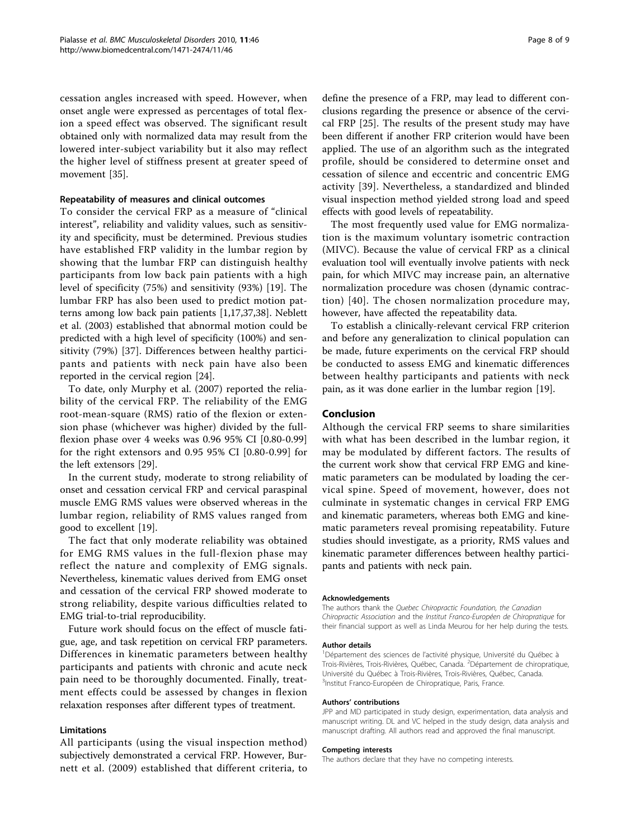cessation angles increased with speed. However, when onset angle were expressed as percentages of total flexion a speed effect was observed. The significant result obtained only with normalized data may result from the lowered inter-subject variability but it also may reflect the higher level of stiffness present at greater speed of movement [\[35\]](#page-8-0).

# Repeatability of measures and clinical outcomes

To consider the cervical FRP as a measure of "clinical interest", reliability and validity values, such as sensitivity and specificity, must be determined. Previous studies have established FRP validity in the lumbar region by showing that the lumbar FRP can distinguish healthy participants from low back pain patients with a high level of specificity (75%) and sensitivity (93%) [\[19](#page-8-0)]. The lumbar FRP has also been used to predict motion patterns among low back pain patients [[1,17,37,38\]](#page-8-0). Neblett et al. (2003) established that abnormal motion could be predicted with a high level of specificity (100%) and sensitivity (79%) [\[37](#page-8-0)]. Differences between healthy participants and patients with neck pain have also been reported in the cervical region [[24\]](#page-8-0).

To date, only Murphy et al. (2007) reported the reliability of the cervical FRP. The reliability of the EMG root-mean-square (RMS) ratio of the flexion or extension phase (whichever was higher) divided by the fullflexion phase over 4 weeks was 0.96 95% CI [0.80-0.99] for the right extensors and 0.95 95% CI [0.80-0.99] for the left extensors [[29](#page-8-0)].

In the current study, moderate to strong reliability of onset and cessation cervical FRP and cervical paraspinal muscle EMG RMS values were observed whereas in the lumbar region, reliability of RMS values ranged from good to excellent [[19\]](#page-8-0).

The fact that only moderate reliability was obtained for EMG RMS values in the full-flexion phase may reflect the nature and complexity of EMG signals. Nevertheless, kinematic values derived from EMG onset and cessation of the cervical FRP showed moderate to strong reliability, despite various difficulties related to EMG trial-to-trial reproducibility.

Future work should focus on the effect of muscle fatigue, age, and task repetition on cervical FRP parameters. Differences in kinematic parameters between healthy participants and patients with chronic and acute neck pain need to be thoroughly documented. Finally, treatment effects could be assessed by changes in flexion relaxation responses after different types of treatment.

# Limitations

All participants (using the visual inspection method) subjectively demonstrated a cervical FRP. However, Burnett et al. (2009) established that different criteria, to

define the presence of a FRP, may lead to different conclusions regarding the presence or absence of the cervical FRP [[25\]](#page-8-0). The results of the present study may have been different if another FRP criterion would have been applied. The use of an algorithm such as the integrated profile, should be considered to determine onset and cessation of silence and eccentric and concentric EMG activity [\[39\]](#page-8-0). Nevertheless, a standardized and blinded visual inspection method yielded strong load and speed effects with good levels of repeatability.

The most frequently used value for EMG normalization is the maximum voluntary isometric contraction (MIVC). Because the value of cervical FRP as a clinical evaluation tool will eventually involve patients with neck pain, for which MIVC may increase pain, an alternative normalization procedure was chosen (dynamic contraction) [[40](#page-8-0)]. The chosen normalization procedure may, however, have affected the repeatability data.

To establish a clinically-relevant cervical FRP criterion and before any generalization to clinical population can be made, future experiments on the cervical FRP should be conducted to assess EMG and kinematic differences between healthy participants and patients with neck pain, as it was done earlier in the lumbar region [[19\]](#page-8-0).

# Conclusion

Although the cervical FRP seems to share similarities with what has been described in the lumbar region, it may be modulated by different factors. The results of the current work show that cervical FRP EMG and kinematic parameters can be modulated by loading the cervical spine. Speed of movement, however, does not culminate in systematic changes in cervical FRP EMG and kinematic parameters, whereas both EMG and kinematic parameters reveal promising repeatability. Future studies should investigate, as a priority, RMS values and kinematic parameter differences between healthy participants and patients with neck pain.

#### Acknowledgements

The authors thank the Quebec Chiropractic Foundation, the Canadian Chiropractic Association and the Institut Franco-Européen de Chiropratique for their financial support as well as Linda Meurou for her help during the tests.

#### Author details

<sup>1</sup>Département des sciences de l'activité physique, Université du Québec à Trois-Rivières, Trois-Rivières, Québec, Canada. <sup>2</sup>Département de chiropratique Université du Québec à Trois-Rivières, Trois-Rivières, Québec, Canada. <sup>3</sup>Institut Franco-Européen de Chiropratique, Paris, France.

#### Authors' contributions

JPP and MD participated in study design, experimentation, data analysis and manuscript writing. DL and VC helped in the study design, data analysis and manuscript drafting. All authors read and approved the final manuscript.

#### Competing interests

The authors declare that they have no competing interests.